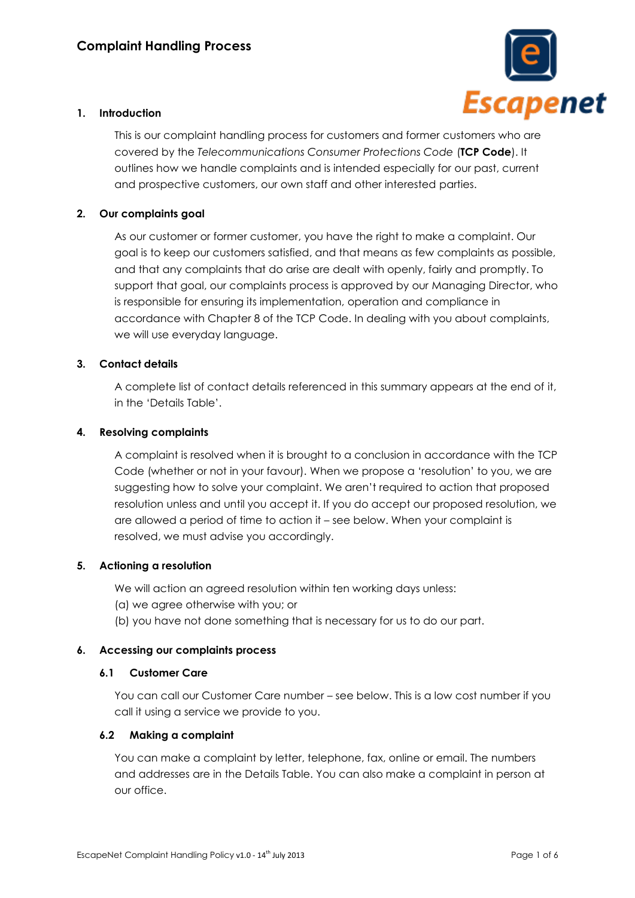

# **1. Introduction**

This is our complaint handling process for customers and former customers who are covered by the *Telecommunications Consumer Protections Code* (**TCP Code**). It outlines how we handle complaints and is intended especially for our past, current and prospective customers, our own staff and other interested parties.

# **2. Our complaints goal**

As our customer or former customer, you have the right to make a complaint. Our goal is to keep our customers satisfied, and that means as few complaints as possible, and that any complaints that do arise are dealt with openly, fairly and promptly. To support that goal, our complaints process is approved by our Managing Director, who is responsible for ensuring its implementation, operation and compliance in accordance with Chapter 8 of the TCP Code. In dealing with you about complaints, we will use everyday language.

# **3. Contact details**

A complete list of contact details referenced in this summary appears at the end of it, in the 'Details Table'.

#### **4. Resolving complaints**

A complaint is resolved when it is brought to a conclusion in accordance with the TCP Code (whether or not in your favour). When we propose a 'resolution' to you, we are suggesting how to solve your complaint. We aren't required to action that proposed resolution unless and until you accept it. If you do accept our proposed resolution, we are allowed a period of time to action it – see below. When your complaint is resolved, we must advise you accordingly.

# **5. Actioning a resolution**

We will action an agreed resolution within ten working days unless:

- (a) we agree otherwise with you; or
- (b) you have not done something that is necessary for us to do our part.

# **6. Accessing our complaints process**

#### **6.1 Customer Care**

You can call our Customer Care number – see below. This is a low cost number if you call it using a service we provide to you.

#### **6.2 Making a complaint**

You can make a complaint by letter, telephone, fax, online or email. The numbers and addresses are in the Details Table. You can also make a complaint in person at our office.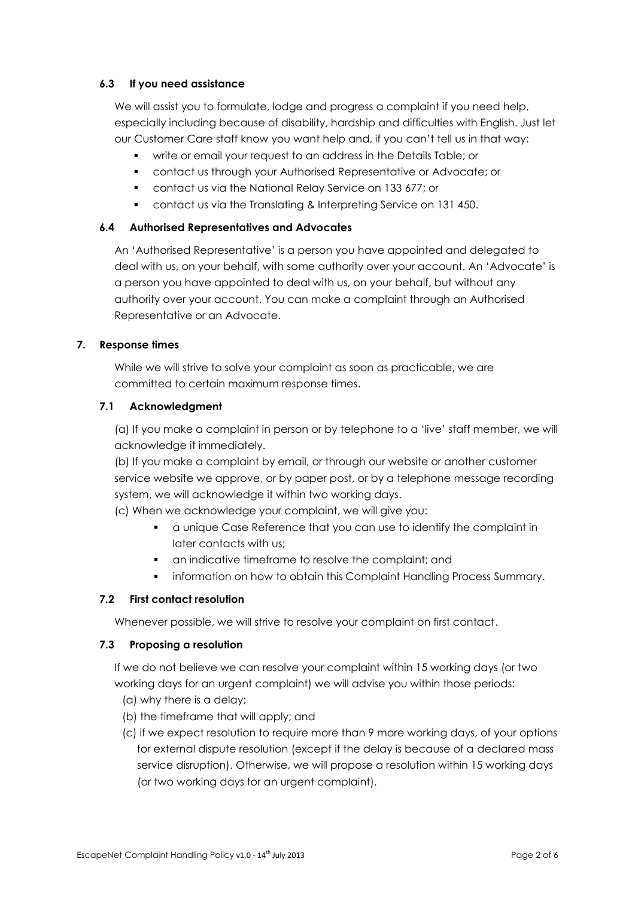# **6.3 If you need assistance**

We will assist you to formulate, lodge and progress a complaint if you need help, especially including because of disability, hardship and difficulties with English. Just let our Customer Care staff know you want help and, if you can't tell us in that way:

- write or email your request to an address in the Details Table; or
- contact us through your Authorised Representative or Advocate; or
- contact us via the National Relay Service on 133 677; or
- contact us via the Translating & Interpreting Service on 131 450.

# **6.4 Authorised Representatives and Advocates**

An 'Authorised Representative' is a person you have appointed and delegated to deal with us, on your behalf, with some authority over your account. An 'Advocate' is a person you have appointed to deal with us, on your behalf, but without any authority over your account. You can make a complaint through an Authorised Representative or an Advocate.

# **7. Response times**

While we will strive to solve your complaint as soon as practicable, we are committed to certain maximum response times.

# **7.1 Acknowledgment**

(a) If you make a complaint in person or by telephone to a 'live' staff member, we will acknowledge it immediately.

(b) If you make a complaint by email, or through our website or another customer service website we approve, or by paper post, or by a telephone message recording system, we will acknowledge it within two working days.

(c) When we acknowledge your complaint, we will give you:

- a unique Case Reference that you can use to identify the complaint in later contacts with us;
- an indicative timeframe to resolve the complaint; and
- **•** information on how to obtain this Complaint Handling Process Summary.

# **7.2 First contact resolution**

Whenever possible, we will strive to resolve your complaint on first contact.

# **7.3 Proposing a resolution**

If we do not believe we can resolve your complaint within 15 working days (or two working days for an urgent complaint) we will advise you within those periods:

- (a) why there is a delay;
- (b) the timeframe that will apply; and
- (c) if we expect resolution to require more than 9 more working days, of your options for external dispute resolution (except if the delay is because of a declared mass service disruption). Otherwise, we will propose a resolution within 15 working days (or two working days for an urgent complaint).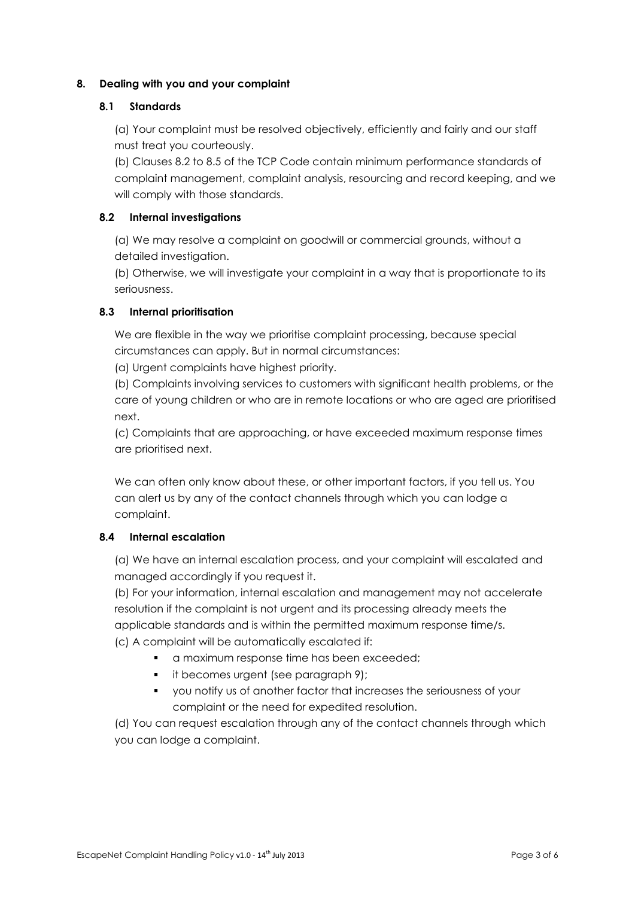# **8. Dealing with you and your complaint**

#### **8.1 Standards**

(a) Your complaint must be resolved objectively, efficiently and fairly and our staff must treat you courteously.

(b) Clauses 8.2 to 8.5 of the TCP Code contain minimum performance standards of complaint management, complaint analysis, resourcing and record keeping, and we will comply with those standards.

#### **8.2 Internal investigations**

(a) We may resolve a complaint on goodwill or commercial grounds, without a detailed investigation.

(b) Otherwise, we will investigate your complaint in a way that is proportionate to its seriousness.

# **8.3 Internal prioritisation**

We are flexible in the way we prioritise complaint processing, because special circumstances can apply. But in normal circumstances:

(a) Urgent complaints have highest priority.

(b) Complaints involving services to customers with significant health problems, or the care of young children or who are in remote locations or who are aged are prioritised next.

(c) Complaints that are approaching, or have exceeded maximum response times are prioritised next.

We can often only know about these, or other important factors, if you tell us. You can alert us by any of the contact channels through which you can lodge a complaint.

# **8.4 Internal escalation**

(a) We have an internal escalation process, and your complaint will escalated and managed accordingly if you request it.

(b) For your information, internal escalation and management may not accelerate resolution if the complaint is not urgent and its processing already meets the applicable standards and is within the permitted maximum response time/s. (c) A complaint will be automatically escalated if:

- **a** a maximum response time has been exceeded;
- **i** it becomes urgent (see paragraph 9);
- you notify us of another factor that increases the seriousness of your complaint or the need for expedited resolution.

(d) You can request escalation through any of the contact channels through which you can lodge a complaint.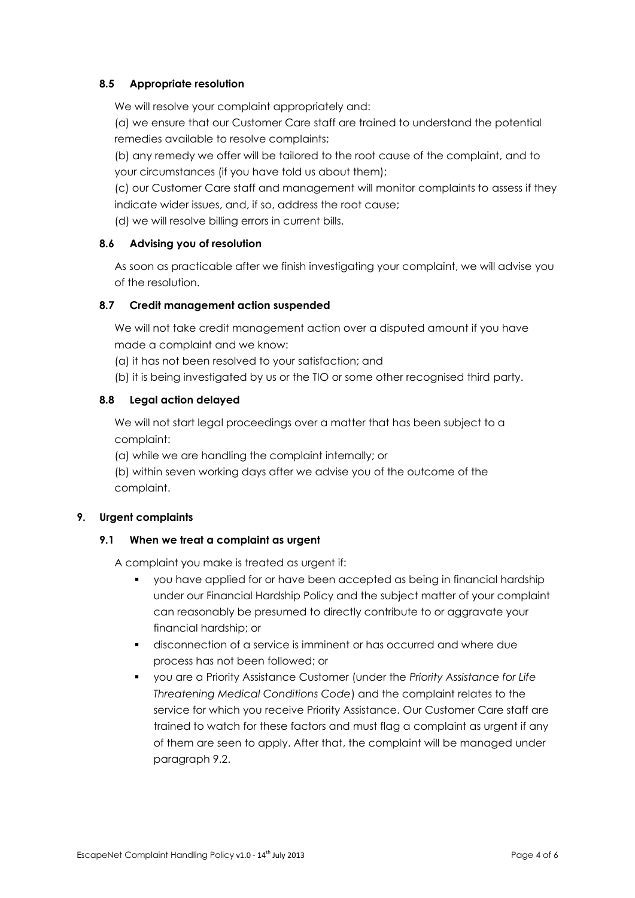# **8.5 Appropriate resolution**

We will resolve your complaint appropriately and:

(a) we ensure that our Customer Care staff are trained to understand the potential remedies available to resolve complaints;

(b) any remedy we offer will be tailored to the root cause of the complaint, and to your circumstances (if you have told us about them);

(c) our Customer Care staff and management will monitor complaints to assess if they indicate wider issues, and, if so, address the root cause;

(d) we will resolve billing errors in current bills.

# **8.6 Advising you of resolution**

As soon as practicable after we finish investigating your complaint, we will advise you of the resolution.

# **8.7 Credit management action suspended**

We will not take credit management action over a disputed amount if you have made a complaint and we know:

- (a) it has not been resolved to your satisfaction; and
- (b) it is being investigated by us or the TIO or some other recognised third party.

# **8.8 Legal action delayed**

We will not start legal proceedings over a matter that has been subject to a complaint:

(a) while we are handling the complaint internally; or

(b) within seven working days after we advise you of the outcome of the complaint.

#### **9. Urgent complaints**

# **9.1 When we treat a complaint as urgent**

A complaint you make is treated as urgent if:

- you have applied for or have been accepted as being in financial hardship under our Financial Hardship Policy and the subject matter of your complaint can reasonably be presumed to directly contribute to or aggravate your financial hardship; or
- disconnection of a service is imminent or has occurred and where due process has not been followed; or
- you are a Priority Assistance Customer (under the *Priority Assistance for Life Threatening Medical Conditions Code*) and the complaint relates to the service for which you receive Priority Assistance. Our Customer Care staff are trained to watch for these factors and must flag a complaint as urgent if any of them are seen to apply. After that, the complaint will be managed under paragraph 9.2.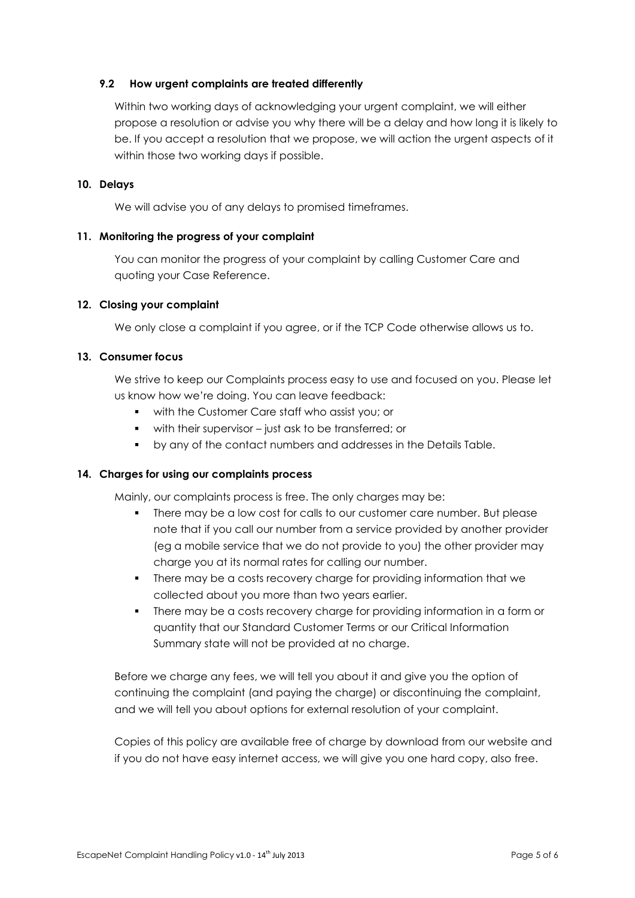#### **9.2 How urgent complaints are treated differently**

Within two working days of acknowledging your urgent complaint, we will either propose a resolution or advise you why there will be a delay and how long it is likely to be. If you accept a resolution that we propose, we will action the urgent aspects of it within those two working days if possible.

#### **10. Delays**

We will advise you of any delays to promised timeframes.

#### **11. Monitoring the progress of your complaint**

You can monitor the progress of your complaint by calling Customer Care and quoting your Case Reference.

#### **12. Closing your complaint**

We only close a complaint if you agree, or if the TCP Code otherwise allows us to.

#### **13. Consumer focus**

We strive to keep our Complaints process easy to use and focused on you. Please let us know how we're doing. You can leave feedback:

- with the Customer Care staff who assist you; or
- with their supervisor just ask to be transferred; or
- by any of the contact numbers and addresses in the Details Table.

# **14. Charges for using our complaints process**

Mainly, our complaints process is free. The only charges may be:

- There may be a low cost for calls to our customer care number. But please note that if you call our number from a service provided by another provider (eg a mobile service that we do not provide to you) the other provider may charge you at its normal rates for calling our number.
- There may be a costs recovery charge for providing information that we collected about you more than two years earlier.
- There may be a costs recovery charge for providing information in a form or quantity that our Standard Customer Terms or our Critical Information Summary state will not be provided at no charge.

Before we charge any fees, we will tell you about it and give you the option of continuing the complaint (and paying the charge) or discontinuing the complaint, and we will tell you about options for external resolution of your complaint.

Copies of this policy are available free of charge by download from our website and if you do not have easy internet access, we will give you one hard copy, also free.